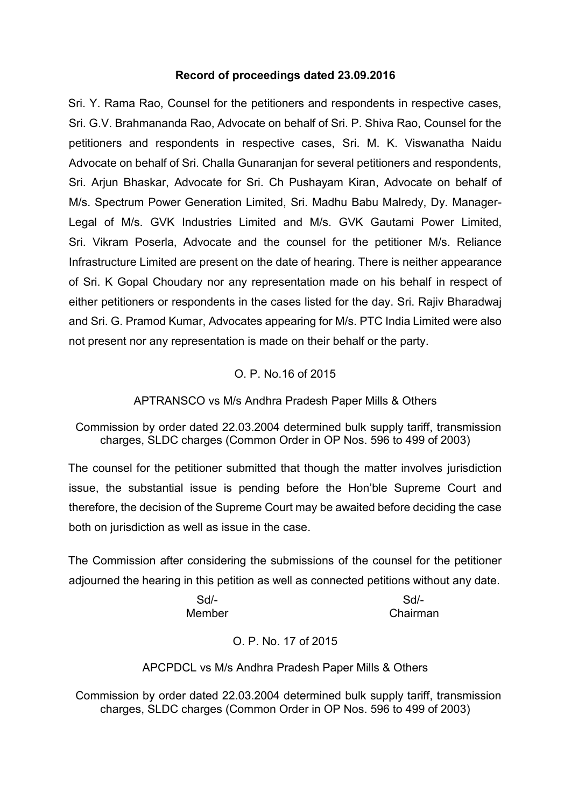## **Record of proceedings dated 23.09.2016**

Sri. Y. Rama Rao, Counsel for the petitioners and respondents in respective cases, Sri. G.V. Brahmananda Rao, Advocate on behalf of Sri. P. Shiva Rao, Counsel for the petitioners and respondents in respective cases, Sri. M. K. Viswanatha Naidu Advocate on behalf of Sri. Challa Gunaranjan for several petitioners and respondents, Sri. Arjun Bhaskar, Advocate for Sri. Ch Pushayam Kiran, Advocate on behalf of M/s. Spectrum Power Generation Limited, Sri. Madhu Babu Malredy, Dy. Manager- Legal of M/s. GVK Industries Limited and M/s. GVK Gautami Power Limited, Sri. Vikram Poserla, Advocate and the counsel for the petitioner M/s. Reliance Infrastructure Limited are present on the date of hearing. There is neither appearance of Sri. K Gopal Choudary nor any representation made on his behalf in respect of either petitioners or respondents in the cases listed for the day. Sri. Rajiv Bharadwaj and Sri. G. Pramod Kumar, Advocates appearing for M/s. PTC India Limited were also not present nor any representation is made on their behalf or the party.

# O. P. No.16 of 2015

APTRANSCO vs M/s Andhra Pradesh Paper Mills & Others

Commission by order dated 22.03.2004 determined bulk supply tariff, transmission charges, SLDC charges (Common Order in OP Nos. 596 to 499 of 2003)

The counsel for the petitioner submitted that though the matter involves jurisdiction issue, the substantial issue is pending before the Hon'ble Supreme Court and therefore, the decision of the Supreme Court may be awaited before deciding the case both on jurisdiction as well as issue in the case.

The Commission after considering the submissions of the counsel for the petitioner adjourned the hearing in this petition as well as connected petitions without any date.

> Sd/- Sd/- Member Chairman

> > O. P. No. 17 of 2015

APCPDCL vs M/s Andhra Pradesh Paper Mills & Others

Commission by order dated 22.03.2004 determined bulk supply tariff, transmission charges, SLDC charges (Common Order in OP Nos. 596 to 499 of 2003)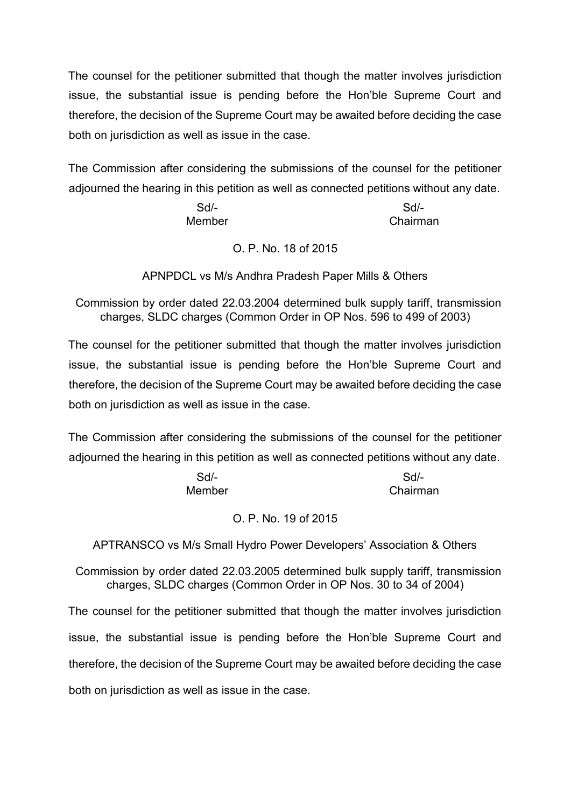The counsel for the petitioner submitted that though the matter involves jurisdiction issue, the substantial issue is pending before the Hon'ble Supreme Court and therefore, the decision of the Supreme Court may be awaited before deciding the case both on jurisdiction as well as issue in the case.

The Commission after considering the submissions of the counsel for the petitioner adjourned the hearing in this petition as well as connected petitions without any date.

> Sd/- Sd/- Member Chairman

> > O. P. No. 18 of 2015

APNPDCL vs M/s Andhra Pradesh Paper Mills & Others

Commission by order dated 22.03.2004 determined bulk supply tariff, transmission charges, SLDC charges (Common Order in OP Nos. 596 to 499 of 2003)

The counsel for the petitioner submitted that though the matter involves jurisdiction issue, the substantial issue is pending before the Hon'ble Supreme Court and therefore, the decision of the Supreme Court may be awaited before deciding the case both on jurisdiction as well as issue in the case.

The Commission after considering the submissions of the counsel for the petitioner adjourned the hearing in this petition as well as connected petitions without any date.

| $Sd$ - | Sd       |
|--------|----------|
| Member | Chairman |

#### O. P. No. 19 of 2015

APTRANSCO vs M/s Small Hydro Power Developers' Association & Others

Commission by order dated 22.03.2005 determined bulk supply tariff, transmission charges, SLDC charges (Common Order in OP Nos. 30 to 34 of 2004)

The counsel for the petitioner submitted that though the matter involves jurisdiction issue, the substantial issue is pending before the Hon'ble Supreme Court and therefore, the decision of the Supreme Court may be awaited before deciding the case both on jurisdiction as well as issue in the case.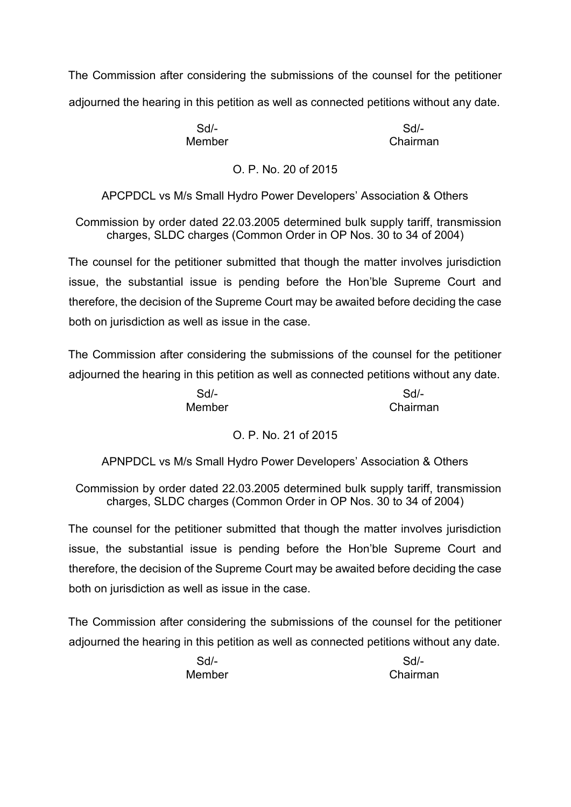The Commission after considering the submissions of the counsel for the petitioner adjourned the hearing in this petition as well as connected petitions without any date.

Sd/- Sd/- Member **Chairman** 

# O. P. No. 20 of 2015

APCPDCL vs M/s Small Hydro Power Developers' Association & Others

Commission by order dated 22.03.2005 determined bulk supply tariff, transmission charges, SLDC charges (Common Order in OP Nos. 30 to 34 of 2004)

The counsel for the petitioner submitted that though the matter involves jurisdiction issue, the substantial issue is pending before the Hon'ble Supreme Court and therefore, the decision of the Supreme Court may be awaited before deciding the case both on jurisdiction as well as issue in the case.

The Commission after considering the submissions of the counsel for the petitioner adjourned the hearing in this petition as well as connected petitions without any date.

> Sd/- Sd/- Member Chairman

# O. P. No. 21 of 2015

APNPDCL vs M/s Small Hydro Power Developers' Association & Others

Commission by order dated 22.03.2005 determined bulk supply tariff, transmission charges, SLDC charges (Common Order in OP Nos. 30 to 34 of 2004)

The counsel for the petitioner submitted that though the matter involves jurisdiction issue, the substantial issue is pending before the Hon'ble Supreme Court and therefore, the decision of the Supreme Court may be awaited before deciding the case both on jurisdiction as well as issue in the case.

The Commission after considering the submissions of the counsel for the petitioner adjourned the hearing in this petition as well as connected petitions without any date.

> Sd/- Sd/- Member **Chairman**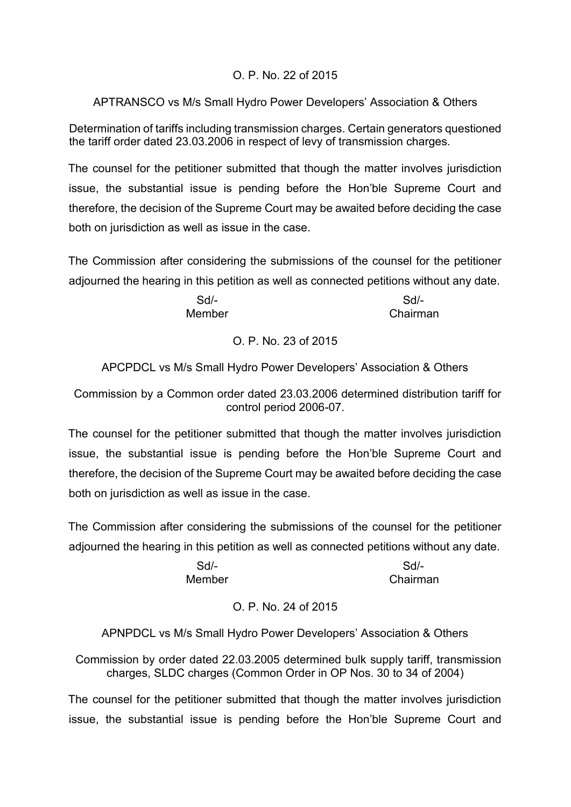# O. P. No. 22 of 2015

APTRANSCO vs M/s Small Hydro Power Developers' Association & Others

Determination of tariffs including transmission charges. Certain generators questioned the tariff order dated 23.03.2006 in respect of levy of transmission charges.

The counsel for the petitioner submitted that though the matter involves jurisdiction issue, the substantial issue is pending before the Hon'ble Supreme Court and therefore, the decision of the Supreme Court may be awaited before deciding the case both on jurisdiction as well as issue in the case.

The Commission after considering the submissions of the counsel for the petitioner adjourned the hearing in this petition as well as connected petitions without any date.

> Sd/- Sd/- Member **Chairman**

> > O. P. No. 23 of 2015

APCPDCL vs M/s Small Hydro Power Developers' Association & Others

Commission by a Common order dated 23.03.2006 determined distribution tariff for control period 2006-07.

The counsel for the petitioner submitted that though the matter involves jurisdiction issue, the substantial issue is pending before the Hon'ble Supreme Court and therefore, the decision of the Supreme Court may be awaited before deciding the case both on jurisdiction as well as issue in the case.

The Commission after considering the submissions of the counsel for the petitioner adjourned the hearing in this petition as well as connected petitions without any date.

> Sd/- Sd/- Member Chairman

# O. P. No. 24 of 2015

APNPDCL vs M/s Small Hydro Power Developers' Association & Others

Commission by order dated 22.03.2005 determined bulk supply tariff, transmission charges, SLDC charges (Common Order in OP Nos. 30 to 34 of 2004)

The counsel for the petitioner submitted that though the matter involves jurisdiction issue, the substantial issue is pending before the Hon'ble Supreme Court and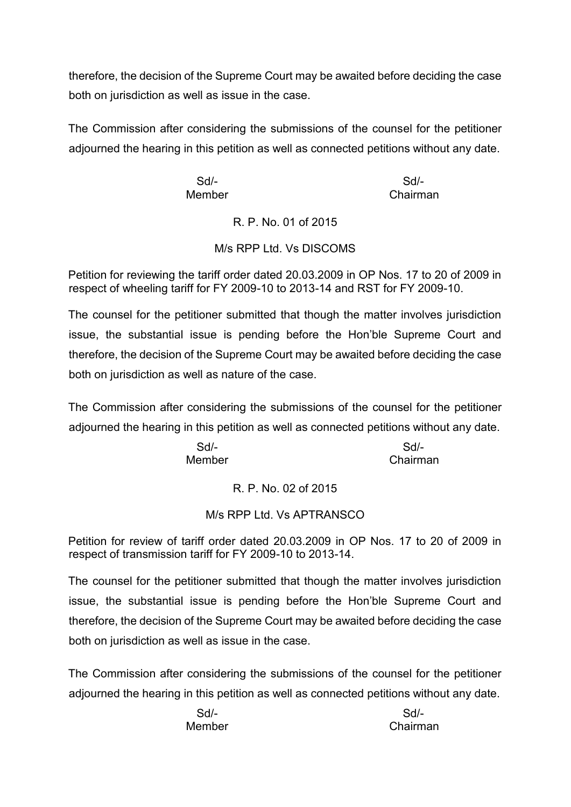therefore, the decision of the Supreme Court may be awaited before deciding the case both on jurisdiction as well as issue in the case.

The Commission after considering the submissions of the counsel for the petitioner adjourned the hearing in this petition as well as connected petitions without any date.

Member Chairman

Sd/- Sd/-

R. P. No. 01 of 2015

M/s RPP Ltd. Vs DISCOMS

Petition for reviewing the tariff order dated 20.03.2009 in OP Nos. 17 to 20 of 2009 in respect of wheeling tariff for FY 2009-10 to 2013-14 and RST for FY 2009-10.

The counsel for the petitioner submitted that though the matter involves jurisdiction issue, the substantial issue is pending before the Hon'ble Supreme Court and therefore, the decision of the Supreme Court may be awaited before deciding the case both on jurisdiction as well as nature of the case.

The Commission after considering the submissions of the counsel for the petitioner adjourned the hearing in this petition as well as connected petitions without any date.

> Sd/- Sd/- Member Chairman

> > R. P. No. 02 of 2015

# M/s RPP Ltd. Vs APTRANSCO

Petition for review of tariff order dated 20.03.2009 in OP Nos. 17 to 20 of 2009 in respect of transmission tariff for FY 2009-10 to 2013-14.

The counsel for the petitioner submitted that though the matter involves jurisdiction issue, the substantial issue is pending before the Hon'ble Supreme Court and therefore, the decision of the Supreme Court may be awaited before deciding the case both on jurisdiction as well as issue in the case.

The Commission after considering the submissions of the counsel for the petitioner adjourned the hearing in this petition as well as connected petitions without any date.

> Sd/- Sd/- Member Chairman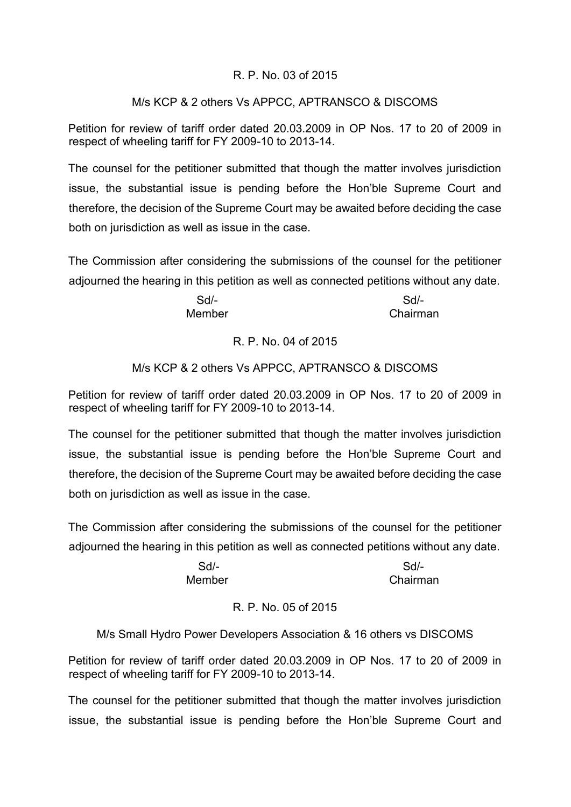## R. P. No. 03 of 2015

## M/s KCP & 2 others Vs APPCC, APTRANSCO & DISCOMS

Petition for review of tariff order dated 20.03.2009 in OP Nos. 17 to 20 of 2009 in respect of wheeling tariff for FY 2009-10 to 2013-14.

The counsel for the petitioner submitted that though the matter involves jurisdiction issue, the substantial issue is pending before the Hon'ble Supreme Court and therefore, the decision of the Supreme Court may be awaited before deciding the case both on jurisdiction as well as issue in the case.

The Commission after considering the submissions of the counsel for the petitioner adjourned the hearing in this petition as well as connected petitions without any date.

> Sd/- Sd/- Member **Chairman**

> > R. P. No. 04 of 2015

## M/s KCP & 2 others Vs APPCC, APTRANSCO & DISCOMS

Petition for review of tariff order dated 20.03.2009 in OP Nos. 17 to 20 of 2009 in respect of wheeling tariff for FY 2009-10 to 2013-14.

The counsel for the petitioner submitted that though the matter involves jurisdiction issue, the substantial issue is pending before the Hon'ble Supreme Court and therefore, the decision of the Supreme Court may be awaited before deciding the case both on jurisdiction as well as issue in the case.

The Commission after considering the submissions of the counsel for the petitioner adjourned the hearing in this petition as well as connected petitions without any date.

> Sd/- Sd/- Member Chairman

# R. P. No. 05 of 2015

# M/s Small Hydro Power Developers Association & 16 others vs DISCOMS

Petition for review of tariff order dated 20.03.2009 in OP Nos. 17 to 20 of 2009 in respect of wheeling tariff for FY 2009-10 to 2013-14.

The counsel for the petitioner submitted that though the matter involves jurisdiction issue, the substantial issue is pending before the Hon'ble Supreme Court and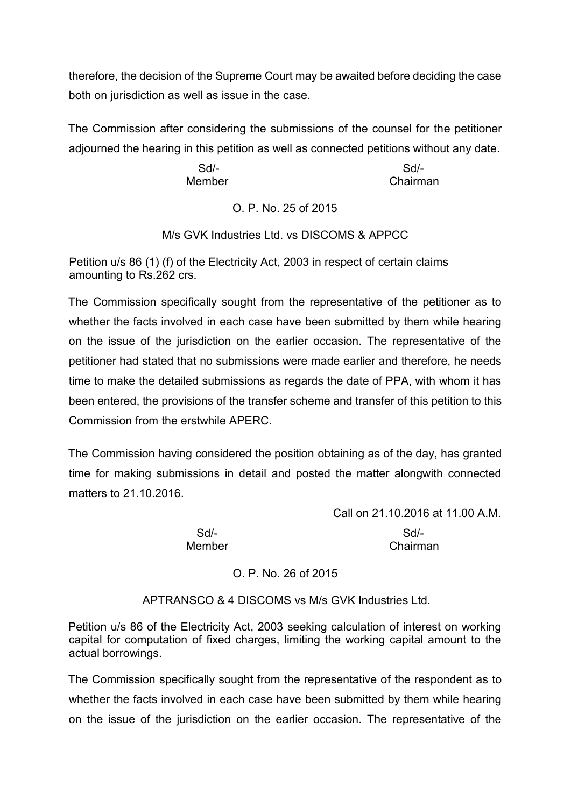therefore, the decision of the Supreme Court may be awaited before deciding the case both on jurisdiction as well as issue in the case.

The Commission after considering the submissions of the counsel for the petitioner adjourned the hearing in this petition as well as connected petitions without any date.

> Sd/- Sd/- Member Chairman

> > O. P. No. 25 of 2015

M/s GVK Industries Ltd. vs DISCOMS & APPCC

Petition u/s 86 (1) (f) of the Electricity Act, 2003 in respect of certain claims amounting to Rs.262 crs.

The Commission specifically sought from the representative of the petitioner as to whether the facts involved in each case have been submitted by them while hearing on the issue of the jurisdiction on the earlier occasion. The representative of the petitioner had stated that no submissions were made earlier and therefore, he needs time to make the detailed submissions as regards the date of PPA, with whom it has been entered, the provisions of the transfer scheme and transfer of this petition to this Commission from the erstwhile APERC.

The Commission having considered the position obtaining as of the day, has granted time for making submissions in detail and posted the matter alongwith connected matters to 21.10.2016.

Call on 21.10.2016 at 11.00 A.M.

Sd/- Sd/- Member Chairman

O. P. No. 26 of 2015

APTRANSCO & 4 DISCOMS vs M/s GVK Industries Ltd.

Petition u/s 86 of the Electricity Act, 2003 seeking calculation of interest on working capital for computation of fixed charges, limiting the working capital amount to the actual borrowings.

The Commission specifically sought from the representative of the respondent as to whether the facts involved in each case have been submitted by them while hearing on the issue of the jurisdiction on the earlier occasion. The representative of the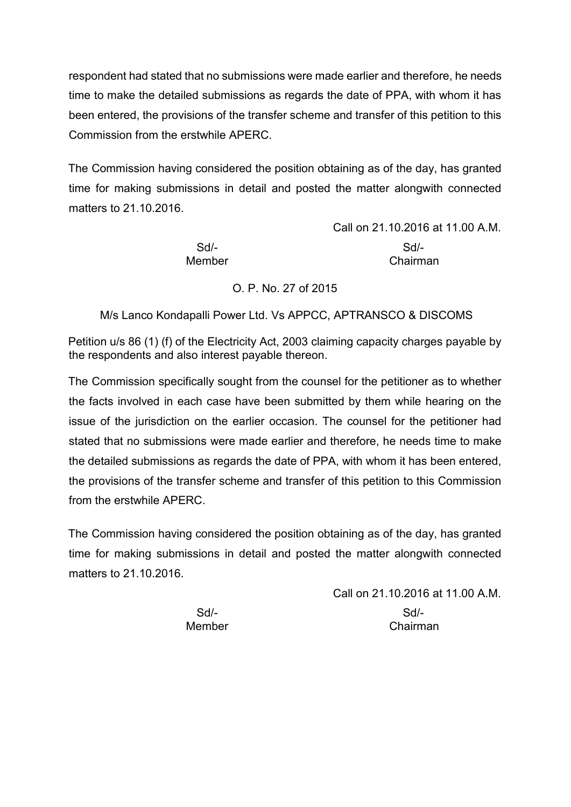respondent had stated that no submissions were made earlier and therefore, he needs time to make the detailed submissions as regards the date of PPA, with whom it has been entered, the provisions of the transfer scheme and transfer of this petition to this Commission from the erstwhile APERC.

The Commission having considered the position obtaining as of the day, has granted time for making submissions in detail and posted the matter alongwith connected matters to 21.10.2016

> Call on 21.10.2016 at 11.00 A.M. Sd/- Sd/- Member Chairman

O. P. No. 27 of 2015

M/s Lanco Kondapalli Power Ltd. Vs APPCC, APTRANSCO & DISCOMS

Petition u/s 86 (1) (f) of the Electricity Act, 2003 claiming capacity charges payable by the respondents and also interest payable thereon.

The Commission specifically sought from the counsel for the petitioner as to whether the facts involved in each case have been submitted by them while hearing on the issue of the jurisdiction on the earlier occasion. The counsel for the petitioner had stated that no submissions were made earlier and therefore, he needs time to make the detailed submissions as regards the date of PPA, with whom it has been entered, the provisions of the transfer scheme and transfer of this petition to this Commission from the erstwhile APERC.

The Commission having considered the position obtaining as of the day, has granted time for making submissions in detail and posted the matter alongwith connected matters to 21.10.2016.

Call on 21.10.2016 at 11.00 A.M.

Sd/- Sd/- Member Chairman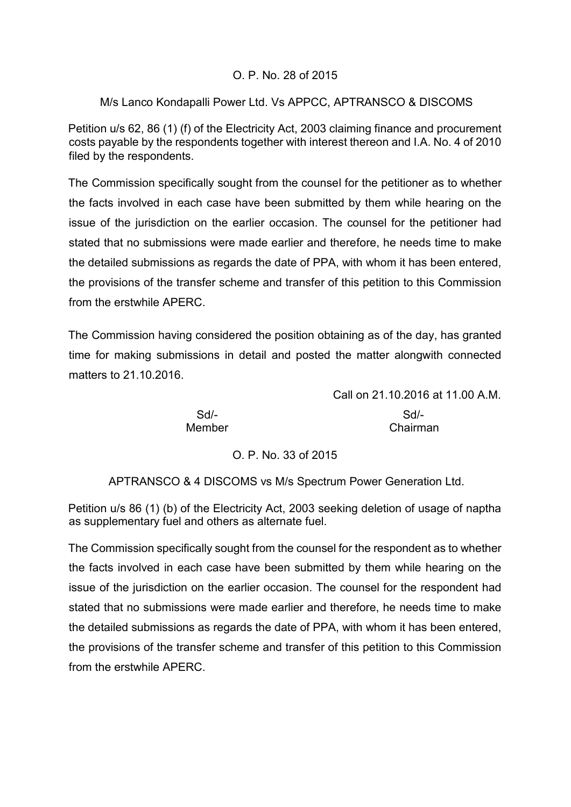## O. P. No. 28 of 2015

## M/s Lanco Kondapalli Power Ltd. Vs APPCC, APTRANSCO & DISCOMS

Petition u/s 62, 86 (1) (f) of the Electricity Act, 2003 claiming finance and procurement costs payable by the respondents together with interest thereon and I.A. No. 4 of 2010 filed by the respondents.

The Commission specifically sought from the counsel for the petitioner as to whether the facts involved in each case have been submitted by them while hearing on the issue of the jurisdiction on the earlier occasion. The counsel for the petitioner had stated that no submissions were made earlier and therefore, he needs time to make the detailed submissions as regards the date of PPA, with whom it has been entered, the provisions of the transfer scheme and transfer of this petition to this Commission from the erstwhile APERC.

The Commission having considered the position obtaining as of the day, has granted time for making submissions in detail and posted the matter alongwith connected matters to 21.10.2016.

> Call on 21.10.2016 at 11.00 A.M. Sd/- Sd/- Member Chairman

#### O. P. No. 33 of 2015

APTRANSCO & 4 DISCOMS vs M/s Spectrum Power Generation Ltd.

Petition u/s 86 (1) (b) of the Electricity Act, 2003 seeking deletion of usage of naptha as supplementary fuel and others as alternate fuel.

The Commission specifically sought from the counsel for the respondent as to whether the facts involved in each case have been submitted by them while hearing on the issue of the jurisdiction on the earlier occasion. The counsel for the respondent had stated that no submissions were made earlier and therefore, he needs time to make the detailed submissions as regards the date of PPA, with whom it has been entered, the provisions of the transfer scheme and transfer of this petition to this Commission from the erstwhile APERC.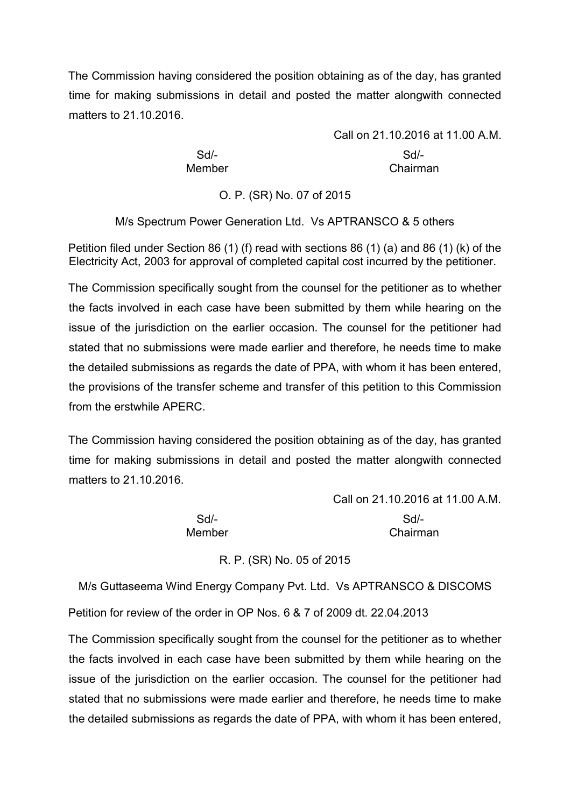The Commission having considered the position obtaining as of the day, has granted time for making submissions in detail and posted the matter alongwith connected matters to 21.10.2016.

Call on 21.10.2016 at 11.00 A.M. Sd/- Sd/- Member **Chairman** 

O. P. (SR) No. 07 of 2015

M/s Spectrum Power Generation Ltd. Vs APTRANSCO & 5 others

Petition filed under Section 86 (1) (f) read with sections 86 (1) (a) and 86 (1) (k) of the Electricity Act, 2003 for approval of completed capital cost incurred by the petitioner.

The Commission specifically sought from the counsel for the petitioner as to whether the facts involved in each case have been submitted by them while hearing on the issue of the jurisdiction on the earlier occasion. The counsel for the petitioner had stated that no submissions were made earlier and therefore, he needs time to make the detailed submissions as regards the date of PPA, with whom it has been entered, the provisions of the transfer scheme and transfer of this petition to this Commission from the erstwhile APERC.

The Commission having considered the position obtaining as of the day, has granted time for making submissions in detail and posted the matter alongwith connected matters to 21.10.2016.

> Call on 21.10.2016 at 11.00 A.M. Sd/- Sd/- Member Chairman

> > R. P. (SR) No. 05 of 2015

M/s Guttaseema Wind Energy Company Pvt. Ltd. Vs APTRANSCO & DISCOMS

Petition for review of the order in OP Nos. 6 & 7 of 2009 dt. 22.04.2013

The Commission specifically sought from the counsel for the petitioner as to whether the facts involved in each case have been submitted by them while hearing on the issue of the jurisdiction on the earlier occasion. The counsel for the petitioner had stated that no submissions were made earlier and therefore, he needs time to make the detailed submissions as regards the date of PPA, with whom it has been entered,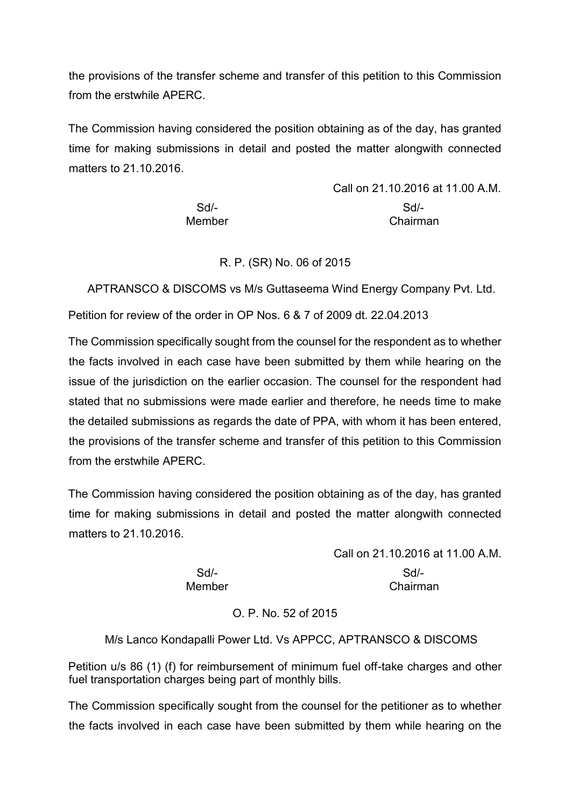the provisions of the transfer scheme and transfer of this petition to this Commission from the erstwhile APERC.

The Commission having considered the position obtaining as of the day, has granted time for making submissions in detail and posted the matter alongwith connected matters to 21.10.2016.

Call on 21.10.2016 at 11.00 A.M. Sd/- Sd/- Member Chairman

R. P. (SR) No. 06 of 2015

APTRANSCO & DISCOMS vs M/s Guttaseema Wind Energy Company Pvt. Ltd.

Petition for review of the order in OP Nos. 6 & 7 of 2009 dt. 22.04.2013

The Commission specifically sought from the counsel for the respondent as to whether the facts involved in each case have been submitted by them while hearing on the issue of the jurisdiction on the earlier occasion. The counsel for the respondent had stated that no submissions were made earlier and therefore, he needs time to make the detailed submissions as regards the date of PPA, with whom it has been entered, the provisions of the transfer scheme and transfer of this petition to this Commission from the erstwhile APERC.

The Commission having considered the position obtaining as of the day, has granted time for making submissions in detail and posted the matter alongwith connected matters to 21.10.2016.

> Call on 21.10.2016 at 11.00 A.M. Sd/- Sd/- Member Chairman

# O. P. No. 52 of 2015

# M/s Lanco Kondapalli Power Ltd. Vs APPCC, APTRANSCO & DISCOMS

Petition u/s 86 (1) (f) for reimbursement of minimum fuel off-take charges and other fuel transportation charges being part of monthly bills.

The Commission specifically sought from the counsel for the petitioner as to whether the facts involved in each case have been submitted by them while hearing on the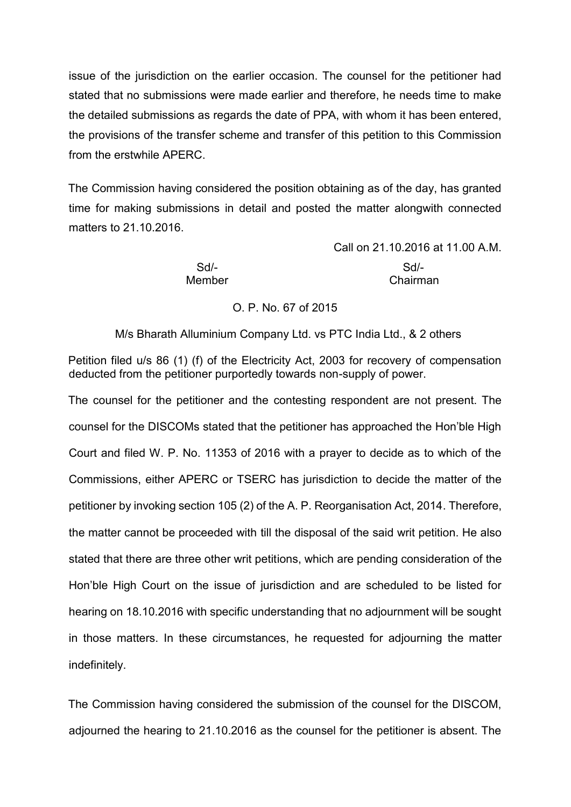issue of the jurisdiction on the earlier occasion. The counsel for the petitioner had stated that no submissions were made earlier and therefore, he needs time to make the detailed submissions as regards the date of PPA, with whom it has been entered, the provisions of the transfer scheme and transfer of this petition to this Commission from the erstwhile APERC.

The Commission having considered the position obtaining as of the day, has granted time for making submissions in detail and posted the matter alongwith connected matters to 21.10.2016.

Member Chairman

Call on 21.10.2016 at 11.00 A.M. Sd/- Sd/-

## O. P. No. 67 of 2015

M/s Bharath Alluminium Company Ltd. vs PTC India Ltd., & 2 others

Petition filed u/s 86 (1) (f) of the Electricity Act, 2003 for recovery of compensation deducted from the petitioner purportedly towards non-supply of power.

The counsel for the petitioner and the contesting respondent are not present. The counsel for the DISCOMs stated that the petitioner has approached the Hon'ble High Court and filed W. P. No. 11353 of 2016 with a prayer to decide as to which of the Commissions, either APERC or TSERC has jurisdiction to decide the matter of the petitioner by invoking section 105 (2) of the A. P. Reorganisation Act, 2014. Therefore, the matter cannot be proceeded with till the disposal of the said writ petition. He also stated that there are three other writ petitions, which are pending consideration of the Hon'ble High Court on the issue of jurisdiction and are scheduled to be listed for hearing on 18.10.2016 with specific understanding that no adjournment will be sought in those matters. In these circumstances, he requested for adjourning the matter indefinitely.

The Commission having considered the submission of the counsel for the DISCOM, adjourned the hearing to 21.10.2016 as the counsel for the petitioner is absent. The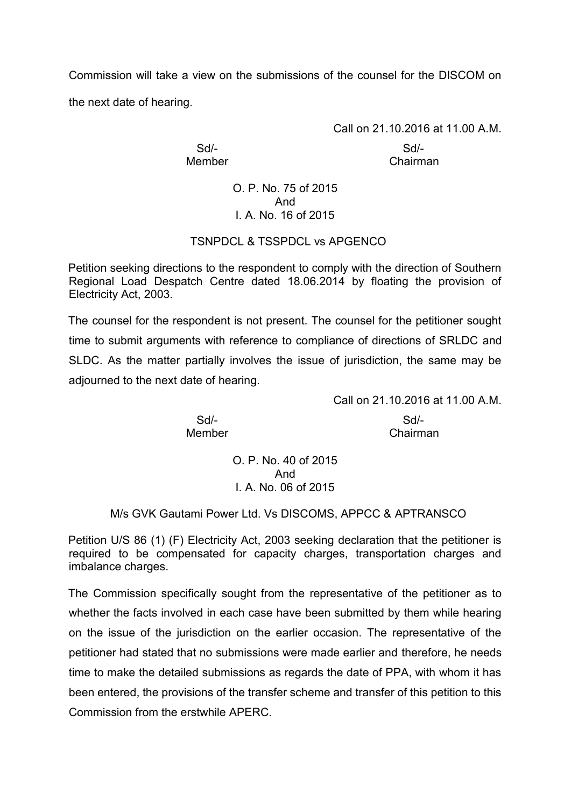Commission will take a view on the submissions of the counsel for the DISCOM on the next date of hearing.

Call on 21.10.2016 at 11.00 A.M.

Sd/- Sd/- Member Chairman

> O. P. No. 75 of 2015 And I. A. No. 16 of 2015

# TSNPDCL & TSSPDCL vs APGENCO

Petition seeking directions to the respondent to comply with the direction of Southern Regional Load Despatch Centre dated 18.06.2014 by floating the provision of Electricity Act, 2003.

The counsel for the respondent is not present. The counsel for the petitioner sought time to submit arguments with reference to compliance of directions of SRLDC and SLDC. As the matter partially involves the issue of jurisdiction, the same may be adjourned to the next date of hearing.

Sd/- Sd/- Member Chairman

Call on 21.10.2016 at 11.00 A.M.

O. P. No. 40 of 2015 And I. A. No. 06 of 2015

#### M/s GVK Gautami Power Ltd. Vs DISCOMS, APPCC & APTRANSCO

Petition U/S 86 (1) (F) Electricity Act, 2003 seeking declaration that the petitioner is required to be compensated for capacity charges, transportation charges and imbalance charges.

The Commission specifically sought from the representative of the petitioner as to whether the facts involved in each case have been submitted by them while hearing on the issue of the jurisdiction on the earlier occasion. The representative of the petitioner had stated that no submissions were made earlier and therefore, he needs time to make the detailed submissions as regards the date of PPA, with whom it has been entered, the provisions of the transfer scheme and transfer of this petition to this Commission from the erstwhile APERC.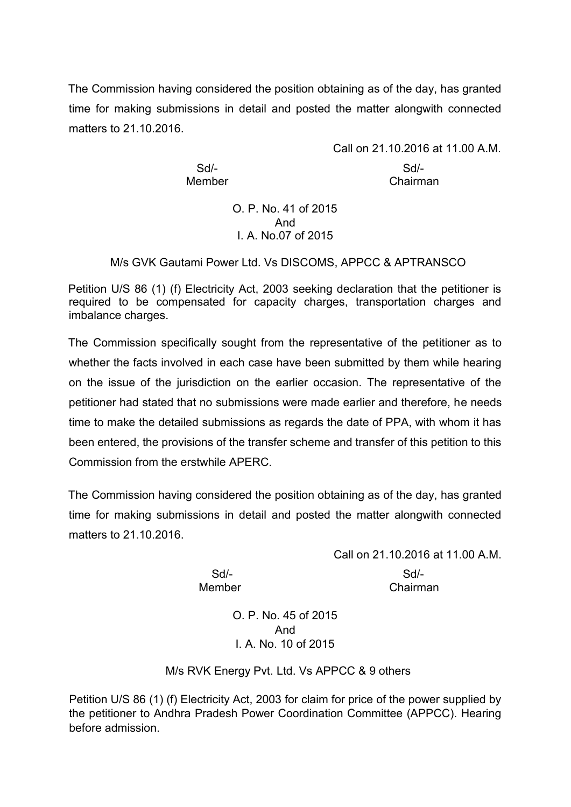The Commission having considered the position obtaining as of the day, has granted time for making submissions in detail and posted the matter alongwith connected matters to 21.10.2016.

Call on 21.10.2016 at 11.00 A.M. Sd/- Sd/- Member Chairman

> O. P. No. 41 of 2015 And I. A. No.07 of 2015

M/s GVK Gautami Power Ltd. Vs DISCOMS, APPCC & APTRANSCO

Petition U/S 86 (1) (f) Electricity Act, 2003 seeking declaration that the petitioner is required to be compensated for capacity charges, transportation charges and imbalance charges.

The Commission specifically sought from the representative of the petitioner as to whether the facts involved in each case have been submitted by them while hearing on the issue of the jurisdiction on the earlier occasion. The representative of the petitioner had stated that no submissions were made earlier and therefore, he needs time to make the detailed submissions as regards the date of PPA, with whom it has been entered, the provisions of the transfer scheme and transfer of this petition to this Commission from the erstwhile APERC.

The Commission having considered the position obtaining as of the day, has granted time for making submissions in detail and posted the matter alongwith connected matters to 21.10.2016.

Call on 21.10.2016 at 11.00 A.M.

Sd/- Sd/- Member Chairman

> O. P. No. 45 of 2015 And I. A. No. 10 of 2015

M/s RVK Energy Pvt. Ltd. Vs APPCC & 9 others

Petition U/S 86 (1) (f) Electricity Act, 2003 for claim for price of the power supplied by the petitioner to Andhra Pradesh Power Coordination Committee (APPCC). Hearing before admission.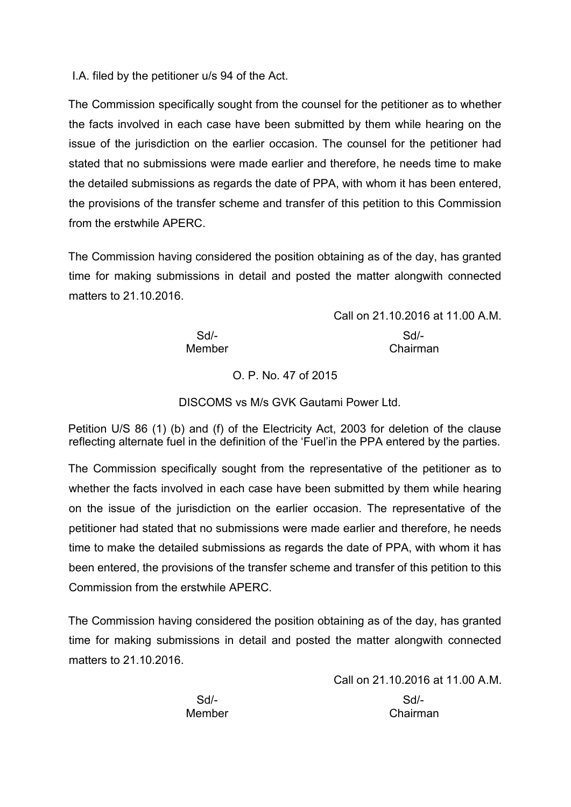I.A. filed by the petitioner u/s 94 of the Act.

The Commission specifically sought from the counsel for the petitioner as to whether the facts involved in each case have been submitted by them while hearing on the issue of the jurisdiction on the earlier occasion. The counsel for the petitioner had stated that no submissions were made earlier and therefore, he needs time to make the detailed submissions as regards the date of PPA, with whom it has been entered, the provisions of the transfer scheme and transfer of this petition to this Commission from the erstwhile APERC.

The Commission having considered the position obtaining as of the day, has granted time for making submissions in detail and posted the matter alongwith connected matters to 21.10.2016.

> Call on 21.10.2016 at 11.00 A.M. Sd/- Sd/- Member **Chairman**

O. P. No. 47 of 2015

DISCOMS vs M/s GVK Gautami Power Ltd.

Petition U/S 86 (1) (b) and (f) of the Electricity Act, 2003 for deletion of the clause reflecting alternate fuel in the definition of the 'Fuel'in the PPA entered by the parties.

The Commission specifically sought from the representative of the petitioner as to whether the facts involved in each case have been submitted by them while hearing on the issue of the jurisdiction on the earlier occasion. The representative of the petitioner had stated that no submissions were made earlier and therefore, he needs time to make the detailed submissions as regards the date of PPA, with whom it has been entered, the provisions of the transfer scheme and transfer of this petition to this Commission from the erstwhile APERC.

The Commission having considered the position obtaining as of the day, has granted time for making submissions in detail and posted the matter alongwith connected matters to 21.10.2016.

> Call on 21.10.2016 at 11.00 A.M. Sd/- Sd/- Member Chairman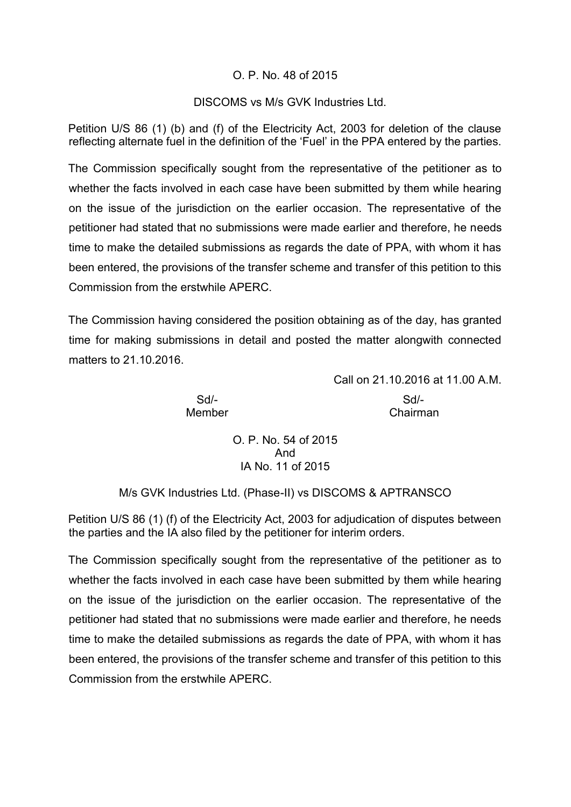#### O. P. No. 48 of 2015

#### DISCOMS vs M/s GVK Industries Ltd.

Petition U/S 86 (1) (b) and (f) of the Electricity Act, 2003 for deletion of the clause reflecting alternate fuel in the definition of the 'Fuel' in the PPA entered by the parties.

The Commission specifically sought from the representative of the petitioner as to whether the facts involved in each case have been submitted by them while hearing on the issue of the jurisdiction on the earlier occasion. The representative of the petitioner had stated that no submissions were made earlier and therefore, he needs time to make the detailed submissions as regards the date of PPA, with whom it has been entered, the provisions of the transfer scheme and transfer of this petition to this Commission from the erstwhile APERC.

The Commission having considered the position obtaining as of the day, has granted time for making submissions in detail and posted the matter alongwith connected matters to 21.10.2016.

Call on 21.10.2016 at 11.00 A.M.

Sd/- Sd/- Member Chairman

> O. P. No. 54 of 2015 And IA No. 11 of 2015

M/s GVK Industries Ltd. (Phase-II) vs DISCOMS & APTRANSCO

Petition U/S 86 (1) (f) of the Electricity Act, 2003 for adjudication of disputes between the parties and the IA also filed by the petitioner for interim orders.

The Commission specifically sought from the representative of the petitioner as to whether the facts involved in each case have been submitted by them while hearing on the issue of the jurisdiction on the earlier occasion. The representative of the petitioner had stated that no submissions were made earlier and therefore, he needs time to make the detailed submissions as regards the date of PPA, with whom it has been entered, the provisions of the transfer scheme and transfer of this petition to this Commission from the erstwhile APERC.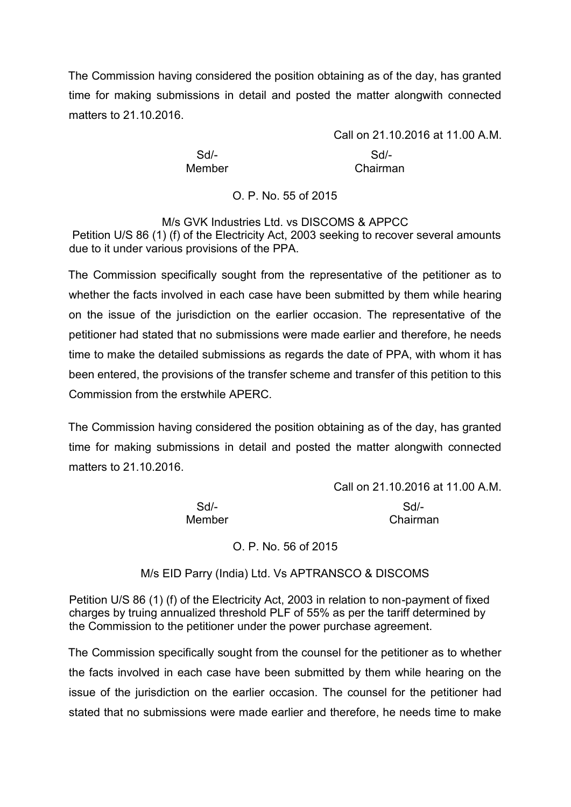The Commission having considered the position obtaining as of the day, has granted time for making submissions in detail and posted the matter alongwith connected matters to 21.10.2016.

Call on 21.10.2016 at 11.00 A.M. Sd/- Sd/- Member Chairman

O. P. No. 55 of 2015

M/s GVK Industries Ltd. vs DISCOMS & APPCC Petition U/S 86 (1) (f) of the Electricity Act, 2003 seeking to recover several amounts due to it under various provisions of the PPA.

The Commission specifically sought from the representative of the petitioner as to whether the facts involved in each case have been submitted by them while hearing on the issue of the jurisdiction on the earlier occasion. The representative of the petitioner had stated that no submissions were made earlier and therefore, he needs time to make the detailed submissions as regards the date of PPA, with whom it has been entered, the provisions of the transfer scheme and transfer of this petition to this Commission from the erstwhile APERC.

The Commission having considered the position obtaining as of the day, has granted time for making submissions in detail and posted the matter alongwith connected matters to 21.10.2016.

Call on 21.10.2016 at 11.00 A.M.

Sd/- Sd/- Member Chairman

O. P. No. 56 of 2015

M/s EID Parry (India) Ltd. Vs APTRANSCO & DISCOMS

Petition U/S 86 (1) (f) of the Electricity Act, 2003 in relation to non-payment of fixed charges by truing annualized threshold PLF of 55% as per the tariff determined by the Commission to the petitioner under the power purchase agreement.

The Commission specifically sought from the counsel for the petitioner as to whether the facts involved in each case have been submitted by them while hearing on the issue of the jurisdiction on the earlier occasion. The counsel for the petitioner had stated that no submissions were made earlier and therefore, he needs time to make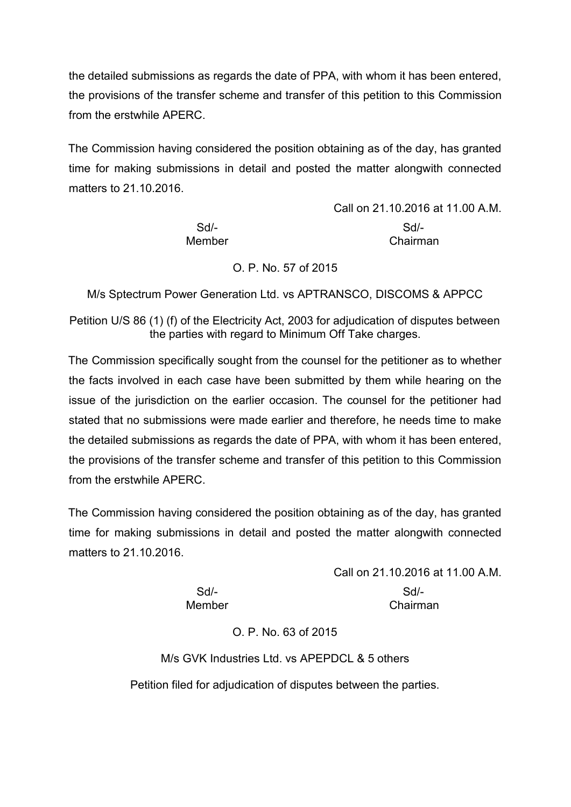the detailed submissions as regards the date of PPA, with whom it has been entered, the provisions of the transfer scheme and transfer of this petition to this Commission from the erstwhile APERC.

The Commission having considered the position obtaining as of the day, has granted time for making submissions in detail and posted the matter alongwith connected matters to 21.10.2016.

|        | Call on 21.10.2016 at 11.00 A.M. |
|--------|----------------------------------|
| $Sd$ - | $Sd/-$                           |
| Member | Chairman                         |

#### O. P. No. 57 of 2015

M/s Sptectrum Power Generation Ltd. vs APTRANSCO, DISCOMS & APPCC

Petition U/S 86 (1) (f) of the Electricity Act, 2003 for adjudication of disputes between the parties with regard to Minimum Off Take charges.

The Commission specifically sought from the counsel for the petitioner as to whether the facts involved in each case have been submitted by them while hearing on the issue of the jurisdiction on the earlier occasion. The counsel for the petitioner had stated that no submissions were made earlier and therefore, he needs time to make the detailed submissions as regards the date of PPA, with whom it has been entered, the provisions of the transfer scheme and transfer of this petition to this Commission from the erstwhile APERC.

The Commission having considered the position obtaining as of the day, has granted time for making submissions in detail and posted the matter alongwith connected matters to 21.10.2016.

> Call on 21.10.2016 at 11.00 A.M. Sd/- Sd/- Member Chairman

O. P. No. 63 of 2015

M/s GVK Industries Ltd. vs APEPDCL & 5 others Petition filed for adjudication of disputes between the parties.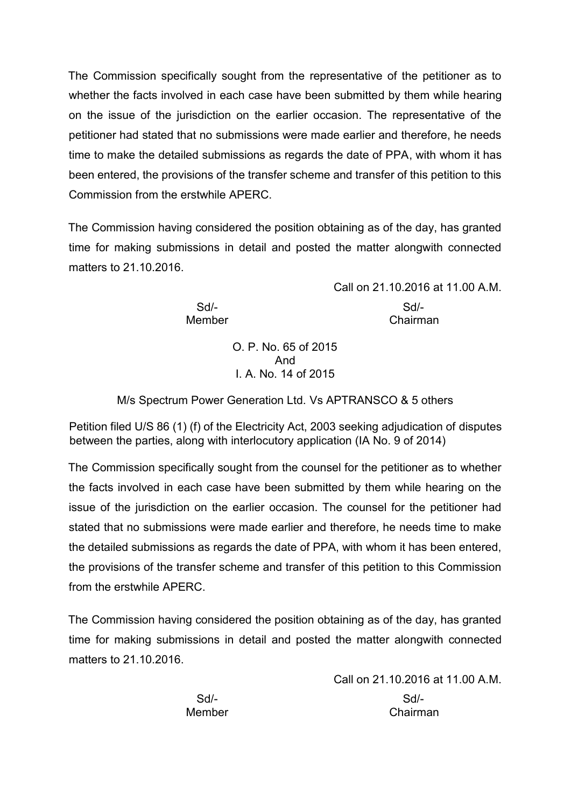The Commission specifically sought from the representative of the petitioner as to whether the facts involved in each case have been submitted by them while hearing on the issue of the jurisdiction on the earlier occasion. The representative of the petitioner had stated that no submissions were made earlier and therefore, he needs time to make the detailed submissions as regards the date of PPA, with whom it has been entered, the provisions of the transfer scheme and transfer of this petition to this Commission from the erstwhile APERC.

The Commission having considered the position obtaining as of the day, has granted time for making submissions in detail and posted the matter alongwith connected matters to 21.10.2016.

> Call on 21.10.2016 at 11.00 A.M. Sd/- Sd/- Member **Chairman**

> > O. P. No. 65 of 2015 And I. A. No. 14 of 2015

M/s Spectrum Power Generation Ltd. Vs APTRANSCO & 5 others

Petition filed U/S 86 (1) (f) of the Electricity Act, 2003 seeking adjudication of disputes between the parties, along with interlocutory application (IA No. 9 of 2014)

The Commission specifically sought from the counsel for the petitioner as to whether the facts involved in each case have been submitted by them while hearing on the issue of the jurisdiction on the earlier occasion. The counsel for the petitioner had stated that no submissions were made earlier and therefore, he needs time to make the detailed submissions as regards the date of PPA, with whom it has been entered, the provisions of the transfer scheme and transfer of this petition to this Commission from the erstwhile APERC.

The Commission having considered the position obtaining as of the day, has granted time for making submissions in detail and posted the matter alongwith connected matters to 21.10.2016

|        | Call on 21.10.2016 at 11.00 A.M. |
|--------|----------------------------------|
| Sd/-   | Sd                               |
| Member | Chairman                         |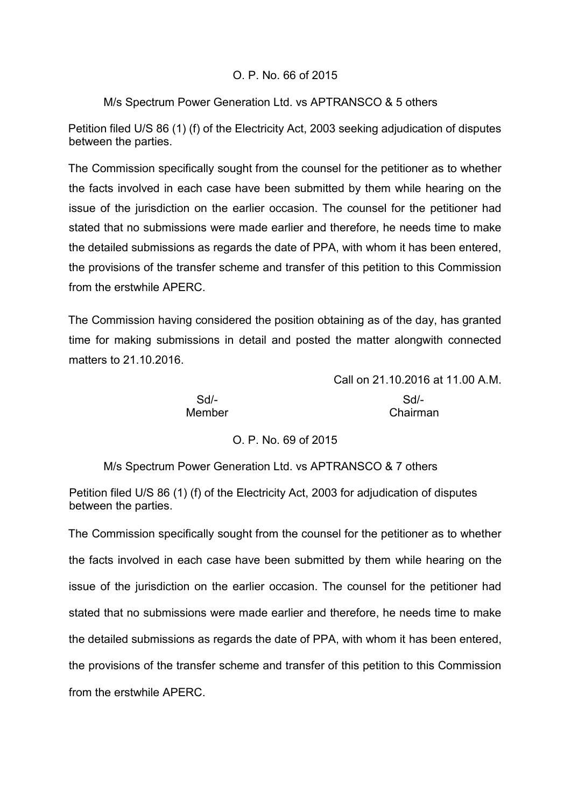## O. P. No. 66 of 2015

## M/s Spectrum Power Generation Ltd. vs APTRANSCO & 5 others

Petition filed U/S 86 (1) (f) of the Electricity Act, 2003 seeking adjudication of disputes between the parties.

The Commission specifically sought from the counsel for the petitioner as to whether the facts involved in each case have been submitted by them while hearing on the issue of the jurisdiction on the earlier occasion. The counsel for the petitioner had stated that no submissions were made earlier and therefore, he needs time to make the detailed submissions as regards the date of PPA, with whom it has been entered, the provisions of the transfer scheme and transfer of this petition to this Commission from the erstwhile APERC.

The Commission having considered the position obtaining as of the day, has granted time for making submissions in detail and posted the matter alongwith connected matters to 21.10.2016.

Call on 21.10.2016 at 11.00 A.M.

Sd/- Sd/- Member Chairman

# O. P. No. 69 of 2015

M/s Spectrum Power Generation Ltd. vs APTRANSCO & 7 others

Petition filed U/S 86 (1) (f) of the Electricity Act, 2003 for adjudication of disputes between the parties.

The Commission specifically sought from the counsel for the petitioner as to whether the facts involved in each case have been submitted by them while hearing on the issue of the jurisdiction on the earlier occasion. The counsel for the petitioner had stated that no submissions were made earlier and therefore, he needs time to make the detailed submissions as regards the date of PPA, with whom it has been entered, the provisions of the transfer scheme and transfer of this petition to this Commission from the erstwhile APERC.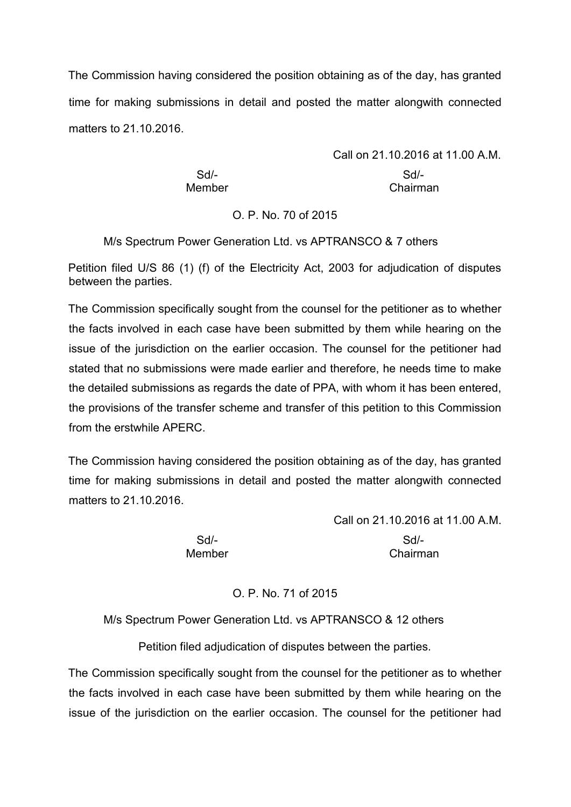The Commission having considered the position obtaining as of the day, has granted time for making submissions in detail and posted the matter alongwith connected matters to 21.10.2016.

> Call on 21.10.2016 at 11.00 A.M. Sd/- Sd/- Member **Chairman**

## O. P. No. 70 of 2015

M/s Spectrum Power Generation Ltd. vs APTRANSCO & 7 others

Petition filed U/S 86 (1) (f) of the Electricity Act, 2003 for adjudication of disputes between the parties.

The Commission specifically sought from the counsel for the petitioner as to whether the facts involved in each case have been submitted by them while hearing on the issue of the jurisdiction on the earlier occasion. The counsel for the petitioner had stated that no submissions were made earlier and therefore, he needs time to make the detailed submissions as regards the date of PPA, with whom it has been entered, the provisions of the transfer scheme and transfer of this petition to this Commission from the erstwhile APERC.

The Commission having considered the position obtaining as of the day, has granted time for making submissions in detail and posted the matter alongwith connected matters to 21.10.2016.

Sd/- Sd/- Member Chairman

Call on 21.10.2016 at 11.00 A.M.

# O. P. No. 71 of 2015

M/s Spectrum Power Generation Ltd. vs APTRANSCO & 12 others

Petition filed adjudication of disputes between the parties.

The Commission specifically sought from the counsel for the petitioner as to whether the facts involved in each case have been submitted by them while hearing on the issue of the jurisdiction on the earlier occasion. The counsel for the petitioner had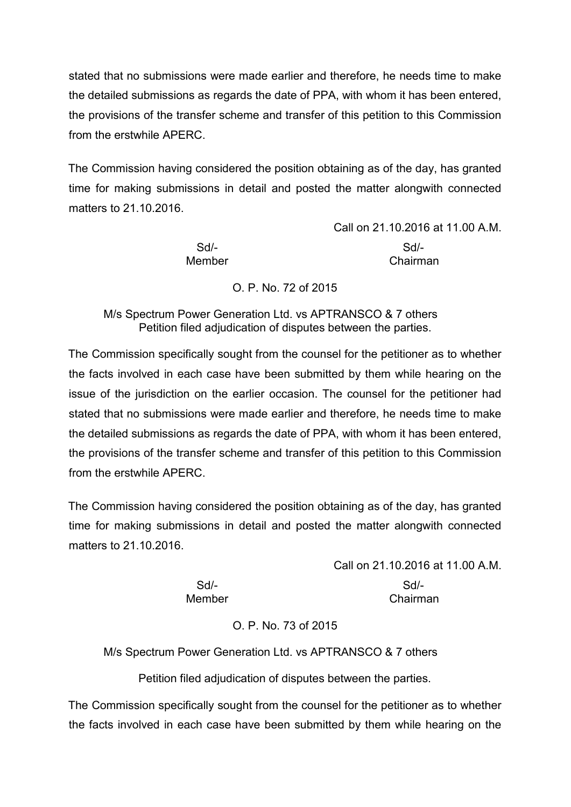stated that no submissions were made earlier and therefore, he needs time to make the detailed submissions as regards the date of PPA, with whom it has been entered, the provisions of the transfer scheme and transfer of this petition to this Commission from the erstwhile APERC.

The Commission having considered the position obtaining as of the day, has granted time for making submissions in detail and posted the matter alongwith connected matters to 21.10.2016.

Call on 21.10.2016 at 11.00 A.M. Sd/- Sd/- Member Chairman

O. P. No. 72 of 2015

M/s Spectrum Power Generation Ltd. vs APTRANSCO & 7 others Petition filed adjudication of disputes between the parties.

The Commission specifically sought from the counsel for the petitioner as to whether the facts involved in each case have been submitted by them while hearing on the issue of the jurisdiction on the earlier occasion. The counsel for the petitioner had stated that no submissions were made earlier and therefore, he needs time to make the detailed submissions as regards the date of PPA, with whom it has been entered, the provisions of the transfer scheme and transfer of this petition to this Commission from the erstwhile APERC.

The Commission having considered the position obtaining as of the day, has granted time for making submissions in detail and posted the matter alongwith connected matters to 21.10.2016.

> Call on 21.10.2016 at 11.00 A.M. Sd/- Sd/- Member **Chairman**

> > O. P. No. 73 of 2015

M/s Spectrum Power Generation Ltd. vs APTRANSCO & 7 others

Petition filed adjudication of disputes between the parties.

The Commission specifically sought from the counsel for the petitioner as to whether the facts involved in each case have been submitted by them while hearing on the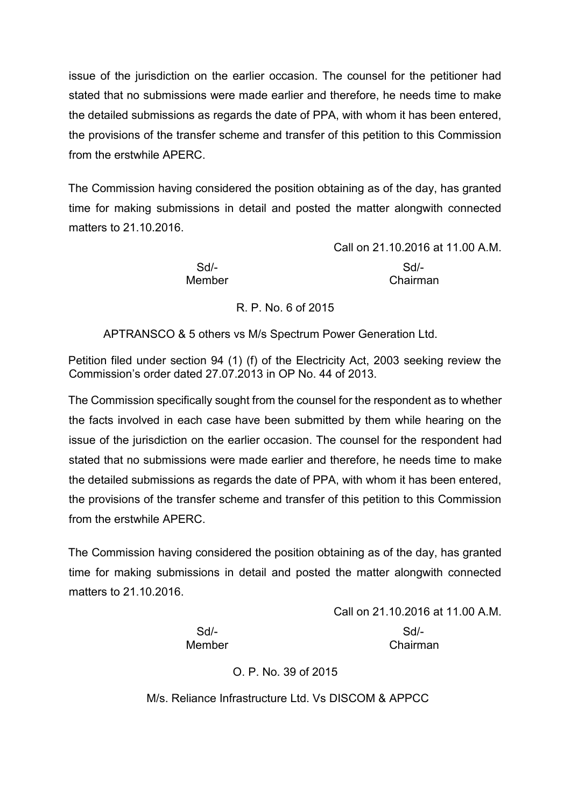issue of the jurisdiction on the earlier occasion. The counsel for the petitioner had stated that no submissions were made earlier and therefore, he needs time to make the detailed submissions as regards the date of PPA, with whom it has been entered, the provisions of the transfer scheme and transfer of this petition to this Commission from the erstwhile APERC.

The Commission having considered the position obtaining as of the day, has granted time for making submissions in detail and posted the matter alongwith connected matters to 21.10.2016.

> Sd/- Sd/- Member Chairman

Call on 21.10.2016 at 11.00 A.M.

# R. P. No. 6 of 2015

APTRANSCO & 5 others vs M/s Spectrum Power Generation Ltd.

Petition filed under section 94 (1) (f) of the Electricity Act, 2003 seeking review the Commission's order dated 27.07.2013 in OP No. 44 of 2013.

The Commission specifically sought from the counsel for the respondent as to whether the facts involved in each case have been submitted by them while hearing on the issue of the jurisdiction on the earlier occasion. The counsel for the respondent had stated that no submissions were made earlier and therefore, he needs time to make the detailed submissions as regards the date of PPA, with whom it has been entered, the provisions of the transfer scheme and transfer of this petition to this Commission from the erstwhile APERC.

The Commission having considered the position obtaining as of the day, has granted time for making submissions in detail and posted the matter alongwith connected matters to 21.10.2016.

Call on 21.10.2016 at 11.00 A.M.

Sd/- Sd/- Member **Chairman** 

O. P. No. 39 of 2015

M/s. Reliance Infrastructure Ltd. Vs DISCOM & APPCC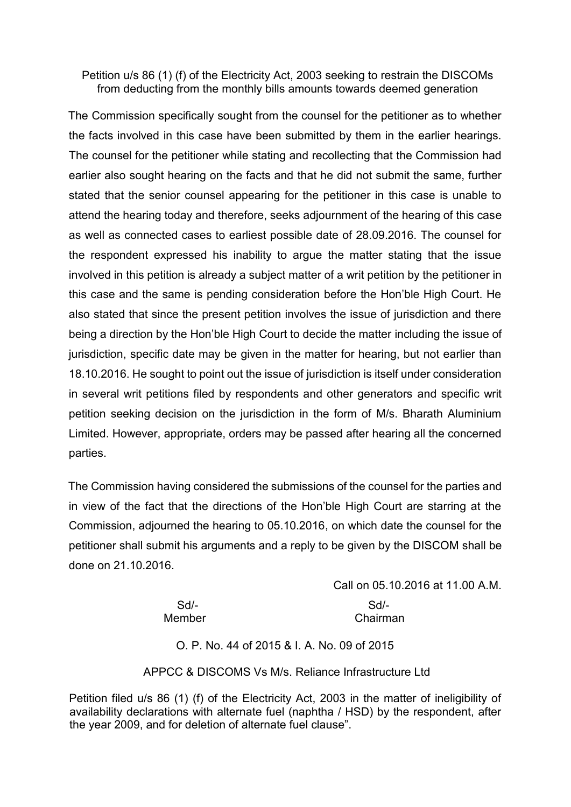#### Petition u/s 86 (1) (f) of the Electricity Act, 2003 seeking to restrain the DISCOMs from deducting from the monthly bills amounts towards deemed generation

The Commission specifically sought from the counsel for the petitioner as to whether the facts involved in this case have been submitted by them in the earlier hearings. The counsel for the petitioner while stating and recollecting that the Commission had earlier also sought hearing on the facts and that he did not submit the same, further stated that the senior counsel appearing for the petitioner in this case is unable to attend the hearing today and therefore, seeks adjournment of the hearing of this case as well as connected cases to earliest possible date of 28.09.2016. The counsel for the respondent expressed his inability to argue the matter stating that the issue involved in this petition is already a subject matter of a writ petition by the petitioner in this case and the same is pending consideration before the Hon'ble High Court. He also stated that since the present petition involves the issue of jurisdiction and there being a direction by the Hon'ble High Court to decide the matter including the issue of jurisdiction, specific date may be given in the matter for hearing, but not earlier than 18.10.2016. He sought to point out the issue of jurisdiction is itself under consideration in several writ petitions filed by respondents and other generators and specific writ petition seeking decision on the jurisdiction in the form of M/s. Bharath Aluminium Limited. However, appropriate, orders may be passed after hearing all the concerned parties.

The Commission having considered the submissions of the counsel for the parties and in view of the fact that the directions of the Hon'ble High Court are starring at the Commission, adjourned the hearing to 05.10.2016, on which date the counsel for the petitioner shall submit his arguments and a reply to be given by the DISCOM shall be done on 21.10.2016.

> Call on 05.10.2016 at 11.00 A.M. Sd/- Sd/- Member **Chairman**

#### O. P. No. 44 of 2015 & I. A. No. 09 of 2015

APPCC & DISCOMS Vs M/s. Reliance Infrastructure Ltd

Petition filed u/s 86 (1) (f) of the Electricity Act, 2003 in the matter of ineligibility of availability declarations with alternate fuel (naphtha / HSD) by the respondent, after the year 2009, and for deletion of alternate fuel clause".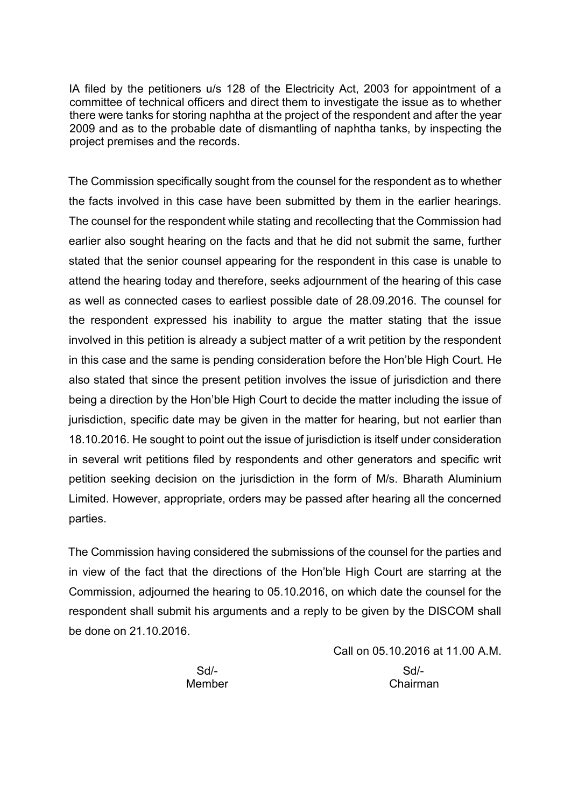IA filed by the petitioners u/s 128 of the Electricity Act, 2003 for appointment of a committee of technical officers and direct them to investigate the issue as to whether there were tanks for storing naphtha at the project of the respondent and after the year 2009 and as to the probable date of dismantling of naphtha tanks, by inspecting the project premises and the records.

The Commission specifically sought from the counsel for the respondent as to whether the facts involved in this case have been submitted by them in the earlier hearings. The counsel for the respondent while stating and recollecting that the Commission had earlier also sought hearing on the facts and that he did not submit the same, further stated that the senior counsel appearing for the respondent in this case is unable to attend the hearing today and therefore, seeks adjournment of the hearing of this case as well as connected cases to earliest possible date of 28.09.2016. The counsel for the respondent expressed his inability to argue the matter stating that the issue involved in this petition is already a subject matter of a writ petition by the respondent in this case and the same is pending consideration before the Hon'ble High Court. He also stated that since the present petition involves the issue of jurisdiction and there being a direction by the Hon'ble High Court to decide the matter including the issue of jurisdiction, specific date may be given in the matter for hearing, but not earlier than 18.10.2016. He sought to point out the issue of jurisdiction is itself under consideration in several writ petitions filed by respondents and other generators and specific writ petition seeking decision on the jurisdiction in the form of M/s. Bharath Aluminium Limited. However, appropriate, orders may be passed after hearing all the concerned parties.

The Commission having considered the submissions of the counsel for the parties and in view of the fact that the directions of the Hon'ble High Court are starring at the Commission, adjourned the hearing to 05.10.2016, on which date the counsel for the respondent shall submit his arguments and a reply to be given by the DISCOM shall be done on 21.10.2016.

> Call on 05.10.2016 at 11.00 A.M. Sd/- Sd/- Member Chairman